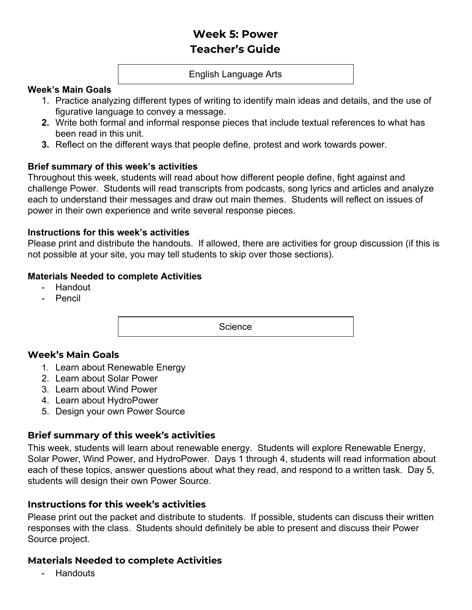# **Week 5: Power Teacher's Guide**

#### English Language Arts

#### **Week's Main Goals**

- 1. Practice analyzing different types of writing to identify main ideas and details, and the use of figurative language to convey a message.
- **2.** Write both formal and informal response pieces that include textual references to what has been read in this unit.
- **3.** Reflect on the different ways that people define, protest and work towards power.

## **Brief summary of this week's activities**

Throughout this week, students will read about how different people define, fight against and challenge Power. Students will read transcripts from podcasts, song lyrics and articles and analyze each to understand their messages and draw out main themes. Students will reflect on issues of power in their own experience and write several response pieces.

#### **Instructions for this week's activities**

Please print and distribute the handouts. If allowed, there are activities for group discussion (if this is not possible at your site, you may tell students to skip over those sections).

## **Materials Needed to complete Activities**

- Handout
- Pencil

**Science** 

# **Week's Main Goals**

- 1. Learn about Renewable Energy
- 2. Learn about Solar Power
- 3. Learn about Wind Power
- 4. Learn about HydroPower
- 5. Design your own Power Source

# **Brief summary of this week's activities**

This week, students will learn about renewable energy. Students will explore Renewable Energy, Solar Power, Wind Power, and HydroPower. Days 1 through 4, students will read information about each of these topics, answer questions about what they read, and respond to a written task. Day 5, students will design their own Power Source.

# **Instructions for this week's activities**

Please print out the packet and distribute to students. If possible, students can discuss their written responses with the class. Students should definitely be able to present and discuss their Power Source project.

#### **Materials Needed to complete Activities**

**Handouts**